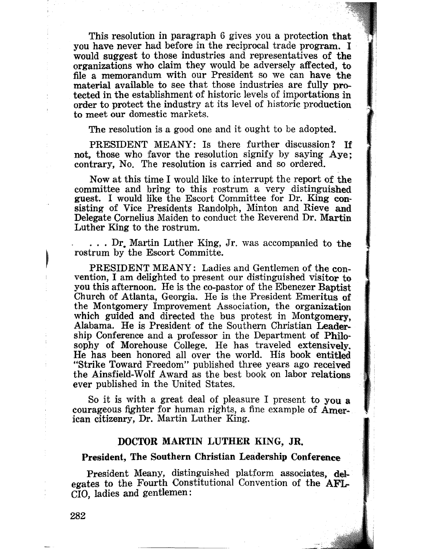This resolution in paragraph 6 gives you a protection that you have never had before in the reciprocal trade program. I would suggest to those industries and representatives of the organizations who claim they would be adversely affected, to, file a memorandum with our President so we can have the material available to see that those industries are fully protected in the establishment of historic levels of importations in order to protect the industry at its level of historic production to meet our domestic markets.

The resolution is a good one and it ought to be adopted.

PRESIDENT MEANY: Is there further discussion? If not, those who favor the resolution signify by saying Aye; contrary, No. The resolution is carried and so ordered.

Now at this time I would like to interrupt the report of the committee and bring to this rostrum a very distinguished guest. I would like the Escort Committee for Dr. King consisting of Vice Presidents Randolph, Minton and Rieve and Delegate Cornelius Maiden to conduct the Reverend Dr. Martin Luther King to the rostrum.

. . . Dr. Martin Luther King, Jr. was accompanied to the rostrum by the Escort Committe.

PRESIDENT MEANY: Ladies and Gentlemen of the convention, I am delighted to present our distinguished visitor to you this afternoon. He is the co-pastor of the Ebenezer Baptist Church of Atlanta, Georgia. He is the President Emeritus of the Montgomery Improvement Association, the organization which guided and directed the bus protest in Montgomery, Alabama. He is President of the Southern Christian Leader.. ship Conference and a professor in the Department of Philosophy of Morehouse College. He has traveled extensively. He has been honored all over the world. His book entitled "Strike Toward Freedom" published three years ago received the Ainsfield-Wolf Award as the best book on labor relations ever published in the United States.

So it is with a great deal of pleasure I present to you a courageous fighter for human rights, a fine example of  $\overline{A}_{\text{mer}-}$ ican citizenry, Dr. Martin Luther King.

## **DOCTOR MARTIN LUTHER** KING, **JR.**

## **President, The Southern Christian Leadership Conference**

President Meany, distinguished platform associates, delegates to the Fourth Constitutional Convention of the  $AFI-$ CIO, ladies and gentlemen:

282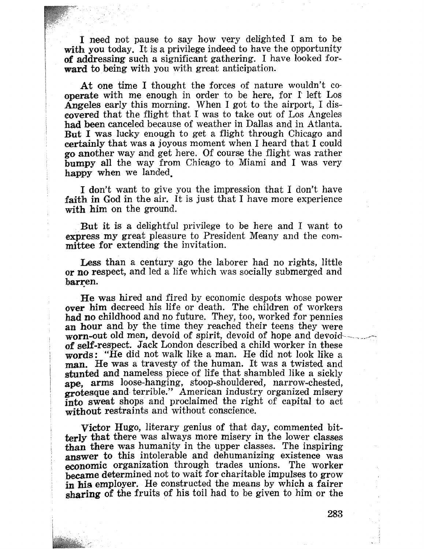I need not pause to say how very delighted I am to be with you today. It is a privilege indeed to have the opportunity of addressing such a significant gathering. I have looked forward to being with you with great anticipation.

At one time I thought the forces of nature wouldn't cooperate with me enough in order to be here, for  $\Gamma$  left Los Angeles early this morning. When I got to the airport, I discovered that the flight that I was to take out of Los Angeles had been canceled because of weather in Dallas and in Atlanta. But I was lucky enough to get a flight through Chicago and certainly that was a joyous moment when I heard that I could go another way and get here. Of course the flight was rather bumpy all the way from Chicago to Miami and I was very happy when we landed.

I don't want to give you the impression that I don't have faith in God in the air. It is just that I have more experience with him on the ground.

. But it is a delightful privilege to be here and I want to express my great pleasure to President Meany and the committee for extending the invitation.

Less than a century ago the laborer had no rights, little or no respect, and led a life which was socially submerged and barren.

He was hired and fired by economic despots whose power over him decreed his life or death. The children of workers had no childhood and no future. They, too, worked for pennies an hour and by the time they reached their teens they were worn-out old men, devoid of spirit, devoid of hope and devoidof self-respect. Jack London described a child worker in these words: "He did not walk like a man. He did not look like a man. He was a travesty of the human. It was a twisted and stunted and nameless piece of life that shambled like a sickly ape, arms loose-hanging, stoop-shouldered, narrow-chested, grotesque and terrible." American industry organized misery into sweat shops and proclaimed the right of capital to act without restraints and without conscience.

Vietor Hugo, literary genius of that day, commented bitterly that there was always more misery in the lower classes than there was humanity in the upper classes. The inspiring answer to this intolerable and dehumanizing existence was economic organization through trades unions. The worker became determined not to wait for charitable impulses to grow in his employer. He constructed the means by which a fairer sharing of the fruits of his toil had to be given to him or the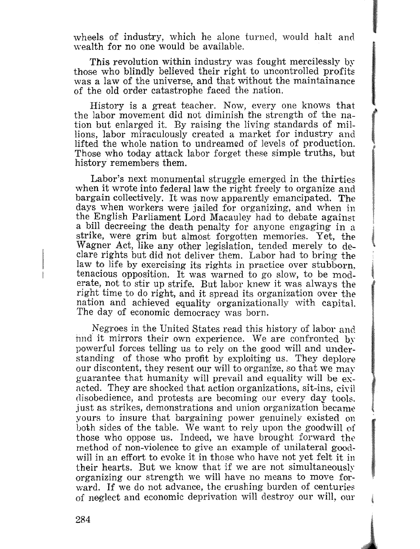wheels of industry, which he alone turned, would halt and wealth for no one would be available.

!I I,

This revolution within industry was fought mercilessly by those who blindly believed their right to uncontrolled profits was a law of the universe, and that without the maintainance of the old order catastrophe faced the nation.

History is a great teacher. Now, every one knows that the labor movement did not diminish the strength of the nation but enlarged it. By raising the living standards of millions, labor miraculously created a market for industry and lifted the whole nation to undreamed of levels of production. Those who today attack labor forget these simple truths, but history remembers them.

Labor's next monumental struggle emerged in the thirties when it wrote into federal law the right freely to organize and bargain collectively. It was now apparently emancipated. The days when workers were jailed for organizing, and when in the English Parliament Lord Macauley had to debate against a bill decreeing the death penalty for anyone engaging in a strike, were grim but almost forgotten memories. Yet, the Wagner Act, like any other legislation, tended merely to declare rights but did not deliver them. Labor had to bring the law to life by exercising its rights in practice over stubborn. tenacious opposition. It was warned to go slow, to be moderate, not to stir up strife. But labor knew it was always the right time to do right, and it spread its organization over the nation and achieved equality organizationally with capital. The day of economic democracy was born.

Negroes in the United States read this history of labor and hnd. it mirrors their own experience. We are confronted by powerful forces telling us to rely on the good will and understanding of those who profit by exploiting us. They deplore our discontent, they resent our will to organize, so that we may guarantee that humanity will prevail and equality will be  $ex$ acted. They are shocked that action organizations, sit-ins, civil disobedience, and protests are becoming our every day tools. just as strikes, demonstrations and union organization became yours to insure that bargaining power genuinely existed on both sides of the table. We want to rely upon the goodwill of those who oppose us. Indeed, we have brought forward the method of non-violence to give an example of unilateral goodwill in an effort to evoke it in those who have not yet felt it in their hearts. But we know that if we are not simultaneously organizing our strength we will have no means to move forward. If we do not advance, the crushing burden of centuries of neglect and economic deprivation will destroy our wiH, our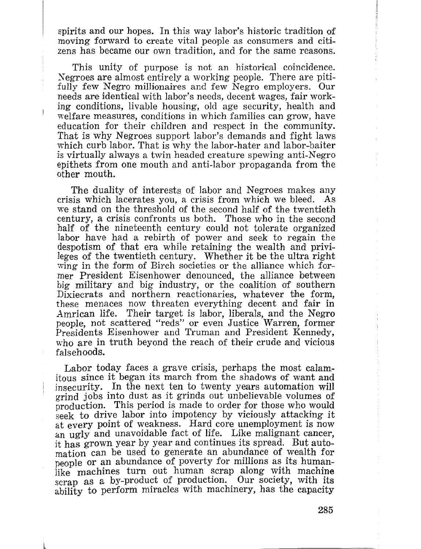spirits and our hopes. In this way labor's historic tradition of moving forward to create vital people as consumers and citizens has became our own tradition, and for the same reasons.

This unity of purpose is not an historical coincidence. Negroes are almost entirely a working people. There are pitifully few Negro millionaires and few Negro employers. Our needs are identical with labor's needs, decent wages, fair working conditions, livable housing, old age security, health and welfare measures, conditions in which families can grow, have education for their children and respect in the community. That is why Negroes support labor's demands and fight laws which curb labor. That is why the labor-hater and labor-baiter is virtually always a twin headed creature spewing anti-Negro epithets from one mouth and anti-labor propaganda from the other mouth.

 $\overline{\phantom{a}}$ 

The duality of interests of labor and Negroes makes any crisis which lacerates you, a crisis from which we bleed. As we stand on the threshold of the second half of the twentieth century, a crisis confronts us both. Those who in the second half of the nineteenth century could not tolerate organized labor have had a rebirth of power and seek to regain the despotism of that era while retaining the wealth and privileges of the twentieth century. Whether it be the ultra right wing in the form of Birch societies or the alliance which former President Eisenhower denounced, the alliance between big military and big industry, or the coalition of southern Dixiecrats and northern reactionaries, whatever the form, these menaces now threaten everything decent and fair in Amrican life. Their target is labor, liberals, and the Negro people, not scattered "reds" or even Justice Warren, former Presidents Eisenhower and Truman and President Kennedy, who are in truth beyond the reach of their crude and vicious falsehoods.

Labor today faces a grave crisis, perhaps the most calam· itous since it began its march from the shadows of want and insecurity. In the next ten to twenty years automation will grind jobs into dust as it grinds out unbelievable volumes of production. This period is made to order for those who would seek to drive labor into impotency by viciously attacking it at every point of weakness. Hard core unemployment is now an ugly and unavoidable fact of life. Like malignant cancer, it has grown year by year and continues its spread. But automation can be used to generate an abundance of wealth for people or an abundance of poverty for millions as its humanlike machines turn out human scrap along with machine scrap as a by-product of production. Our society, with its ability to perform miracles with machinery, has the capacity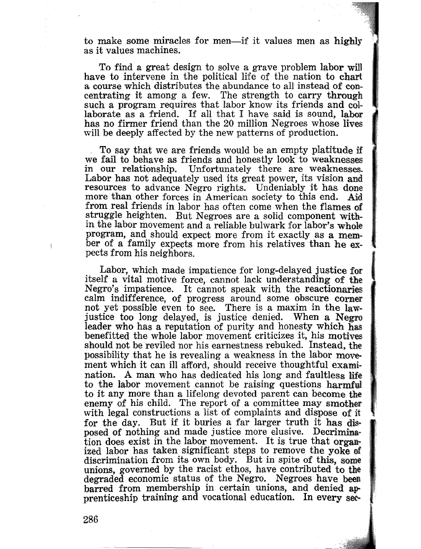to make some miracles for men—if it values men as highly as it values machines.

To find a great design to solve a grave problem labor will have to intervene in the political life of the nation to chart a course which distributes the abundance to all instead of concentrating it among a few. The strength to carry through such a program requires that labor know its friends and collaborate as a friend. If all that I have said is sound, labor has no firmer friend than the 20 million Negroes whose lives will be deeply affected by the new patterns of production.

. To say that we are friends would be an empty platitude if we fail to behave as friends and honestly look to weaknesses in our relationship. Unfortunately there are weaknesses. Labor has not adequately used its great power, its vision and resources to advance Negro rights. Undeniably it has done more than other forces in American society to this end. Aid from real friends in labor has often come when the flames of struggle heighten. But Negroes are a solid component within the labor movement and a reliable bulwark for labor's whole program, and should expect more from it exactly as a member of a family expects more from his relatives than he expects from his neighbors.

Labor, which made impatience for long-delayed justice for itself a vital motive force, cannot lack understanding of the Negro's impatience. It cannot speak with the reactionaries calm indifference, of progress around some obscure corner not yet possible even to see. There is a maxim in the  $law$ justice too long delayed, is justice denied. When a Negro leader who has a reputation of purity and honesty which has benefitted the whole labor movement criticizes it, his motives should not be reviled nor his earnestness rebuked. Instead, the possibility that he is revealing a weakness in the labor movement which it can ill afford, should receive thoughtful examination. *A* man who has dedicated his long and faultless life to the labor movement cannot be raising questions harmful to it any more than a lifelong devoted parent can become the enemy of his child. The report of a committee may smother with legal constructions a list of complaints and dispose of it for the day. But if it buries a far larger truth it has disposed of nothing and made justice more elusive. Decrimination does exist in the labor movement. It is true that organized labor has taken significant steps to remove the yoke of discrimination from its own body. But in spite of this, some unions, governed by the racist ethos, have contributed to the degraded economic status of the Negro. Negroes have been barred from membership in certain unions, and denied apprenticeship training and vocational education. In every sec-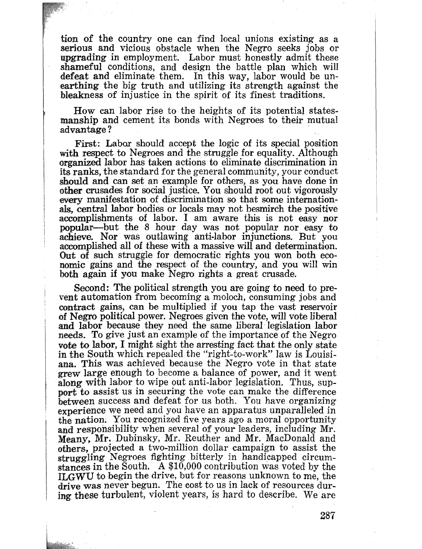tion of the country one can find local unions existing as a serious and vicious obstacle when the Negro seeks jobs or upgrading in employment. Labor must honestly admit these shameful conditions, and design the battle plan which will defeat and eliminate them. In this way, labor would be unearthing the big truth and utilizing its strength against the bleakness of injustice in the spirit of its finest traditions.

How can labor rise to the heights of its potential statesmanship and cement its bonds with Negroes to their mutual advantage?

First: Labar should accept the logic of its special position with respect to Negroes and the struggle for equality. Although organized labor has taken actions to eliminate discrimination in :its ranks, the standard for the general community, your conduct should and can set an example for others, as you have done in other crusades for social justice. You should root out vigorously every manifestation of discrimination so that some internationals, central labor bodies or locals may not besmirch the positive accomplishments of labor. I am aware this is not easy nor popular-but the 8 hour day was not popular nor easy to achieve. Nor was outlawing anti-labor injunctions. But you accomplished all of these with a massive will and determination. Out of such struggle for democratic rights you won both economic gains and the respect of the country, and you will win both again if you make Negro rights a great crusade.

Second: The political strength you are going to need to prevent automation from becoming a moloch, consuming jobs and contract gains, can be multiplied if you tap the vast reservoir of N,egro political power. Negroes given the vote, will vote liberal and labor because they need the same liberal· legislation labor needs. To give just an example of the importance of the Negro vote to labor, I might sight the arresting fact that the only state .in the South which repealed the "right-to-work" law is Louisiana. This was achieved because the Negro vote in that state grew large enough to become a balance of power, and it went along with labor to wipe out anti-labor legislation. Thus, support to assist us in securing the vote can make the difference between success and defeat for us both. You have organizing experience we need and you have an apparatus unparalleled in the nation. You recognized five years ago a moral opportunity and responsibility when several of your leaders, including Mr.<br>Meany, Mr. Dubinsky, Mr. Reuther and Mr. MacDonald and others, projected a two-million dollar campaign to assist the struggling Negroes fighting bitterly in handicapped circumstances in the South. A \$10,000 contribution was voted by the ILGWU to begin the drive, but for reasons unknown to me, the drive was never begun. The cost to us in lack of resources during these turbulent, violent years, is hard to describe. We are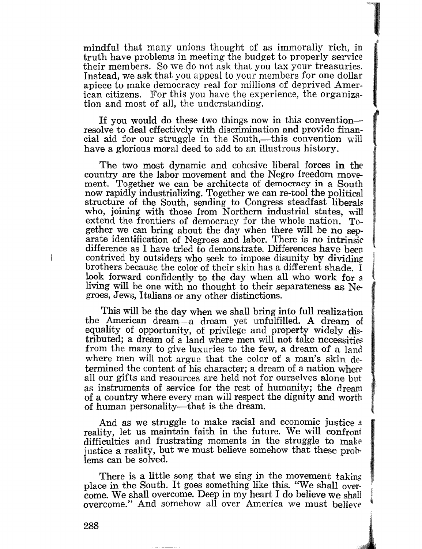mindful that many unions thought of as immorally rich, in truth have problems in meeting the budget to properly service their members. So we do not ask that you tax your treasuries. Instead, we ask that you appeal to your members for one dollar apiece to make democracy real for millions of deprived American citizens. For this you have the experience, the organization and most of all, the understanding.

If you would do these two things now in this conventionresolve to deal effectively with discrimination and provide financial aid for our struggle in the South,—this convention will have a glorious moral deed to add to an illustrous history.

The two most dynamic and cohesive liberal forces in tbe country are the labor movement and the Negro freedom movement. Together we can be architects of democracy in a South now rapidly industrializing. Together we can re-tool the political structure of the South, sending to Congress steadfast liberals who, joining with those from Northern industrial states, will extend the frontiers of democracy for the whole nation. Together we can bring about the day when there will be no separate identification of Negroes and labor. There is no intrinsic difference as I have tried to demonstrate. Differences have been contrived by outsiders who seek to impose disunity by dividing brothers because the color of their skin has a different shade. I Look forward confidently to the day when all who work for a living will be one with no thought to their separateness as Ne· groes, Jews, Italians or any other distinctions.

This will be the day when we shall bring into full realization the American dream-a dream yet unfulfilled. A dream of equality of opportunity, of privilege and property widely distributed; a dream of a land where men will not take necessities from the many to give luxuries to the few, a dream of a land where men will not argue that the color of a man's skin determined the content of his character; a dream of a nation wherr all our gifts and resources are held not for ourselves alone but as instruments of service for the rest of humanity; the dream of a country where every man will respect the dignity and worth of human personality—that is the dream.

And as we struggle to make racial and economic justice *s*  reality, let us maintain faith in the future. We will confront difficulties and frustrating moments in the struggle to make justice a reality, but we must believe somehow that these prob~ lems can be solved.

There is a little song that we sing in the movement taking. place in the South. It goes something like this. "We shall over· come. We shall overcome. Deep in my heart I do believe we shall overcome." And somehow all over America we must believe

Ì